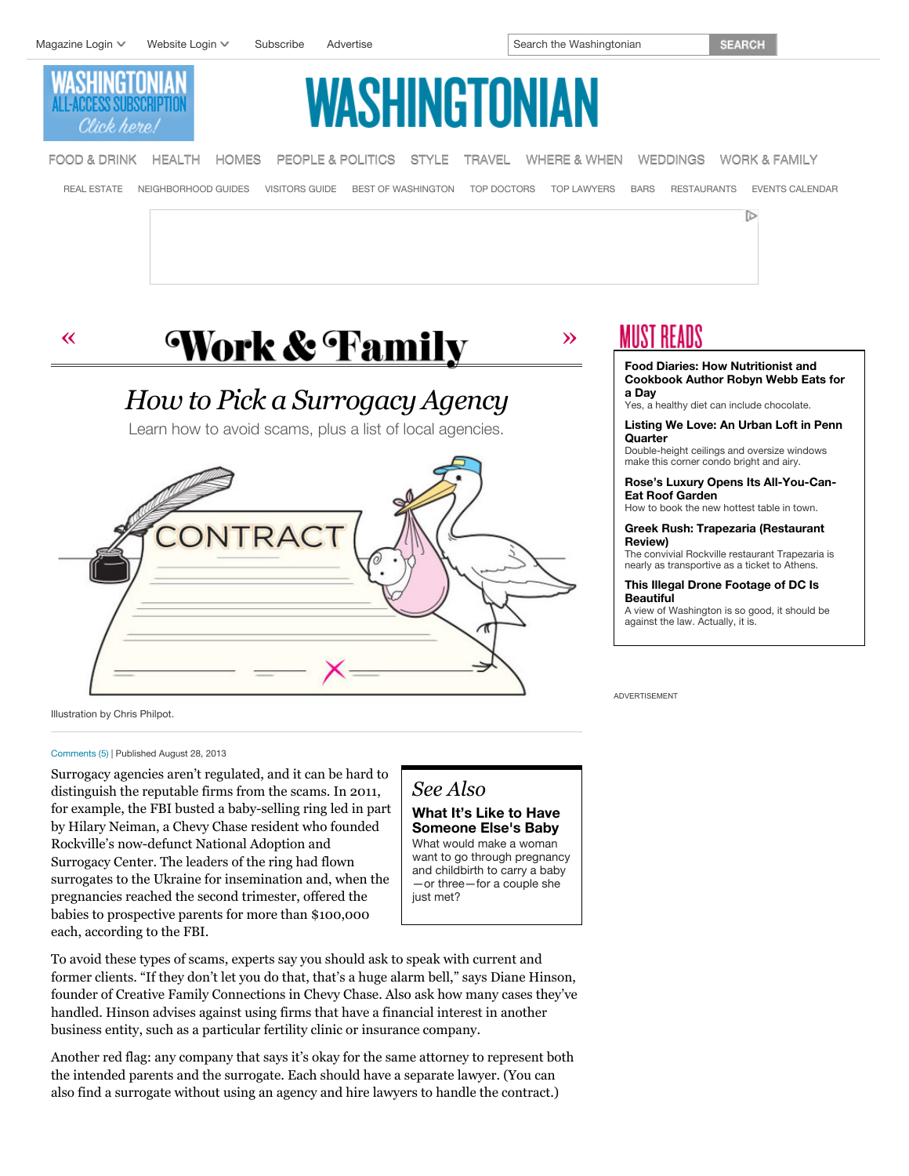



*How to Pick a Surrogacy Agency* Learn how to avoid scams, plus a list of local agencies.

#### **Food Diaries: How Nutritionist and [Cookbook Author Robyn Webb Eats for](http://www.washingtonian.com/blogs/wellbeing/food-diaries/how-nutritionist-and-cookbook-author-robyn-webb-eats-for-a-day.php) a Day**

Yes, a healthy diet can include chocolate.

**[Listing We Love: An Urban Loft in Penn](http://www.washingtonian.com/blogs/openhouse/listing-we-love/listing-we-love-an-urban-loft-in-penn-quarter.php) Quarter**

Double-height ceilings and oversize windows make this corner condo bright and airy.

**[Rose's Luxury Opens Its All-You-Can-](http://www.washingtonian.com/blogs/bestbites/food-restaurant-news/roses-luxury-opens-its-all-you-can-eat-roof-garden.php)Eat Roof Garden**

How to book the new hottest table in town.

**[Greek Rush: Trapezaria \(Restaurant](http://www.washingtonian.com/restaurantreviews/greek-rush-trapezaria.php) Review)**

The convivial Rockville restaurant Trapezaria is nearly as transportive as a ticket to Athens.

#### **[This Illegal Drone Footage of DC Is](http://www.washingtonian.com/blogs/capitalcomment/national-security/this-illegal-drone-footage-of-dc-is-beautiful.php) Beautiful**

A view of Washington is so good, it should be against the law. Actually, it is.

ADVERTISEMENT

Illustration by Chris Philpot.

#### [Comments \(5\)](http://www.washingtonian.com/articles/work-education/how-to-pick-a-surrogacy-agency/#comments) | Published August 28, 2013

Surrogacy agencies aren't regulated, and it can be hard to distinguish the reputable firms from the scams. In 2011, for example, the FBI busted a baby-selling ring led in part by Hilary Neiman, a Chevy Chase resident who founded Rockville's now-defunct National Adoption and Surrogacy Center. The leaders of the ring had flown surrogates to the Ukraine for insemination and, when the pregnancies reached the second trimester, offered the babies to prospective parents for more than \$100,000 each, according to the FBI.

ONTRAC

# *See Also*

**[What It's Like to Have](http://www.washingtonian.com/articles/work-education/meet-the-baby-carriers/) Someone Else's Baby** What would make a woman want to go through pregnancy and childbirth to carry a baby —or three—for a couple she just met?

To avoid these types of scams, experts say you should ask to speak with current and former clients. "If they don't let you do that, that's a huge alarm bell," says Diane Hinson, founder of Creative Family Connections in Chevy Chase. Also ask how many cases they've handled. Hinson advises against using firms that have a financial interest in another business entity, such as a particular fertility clinic or insurance company.

Another red flag: any company that says it's okay for the same attorney to represent both the intended parents and the surrogate. Each should have a separate lawyer. (You can also find a surrogate without using an agency and hire lawyers to handle the contract.)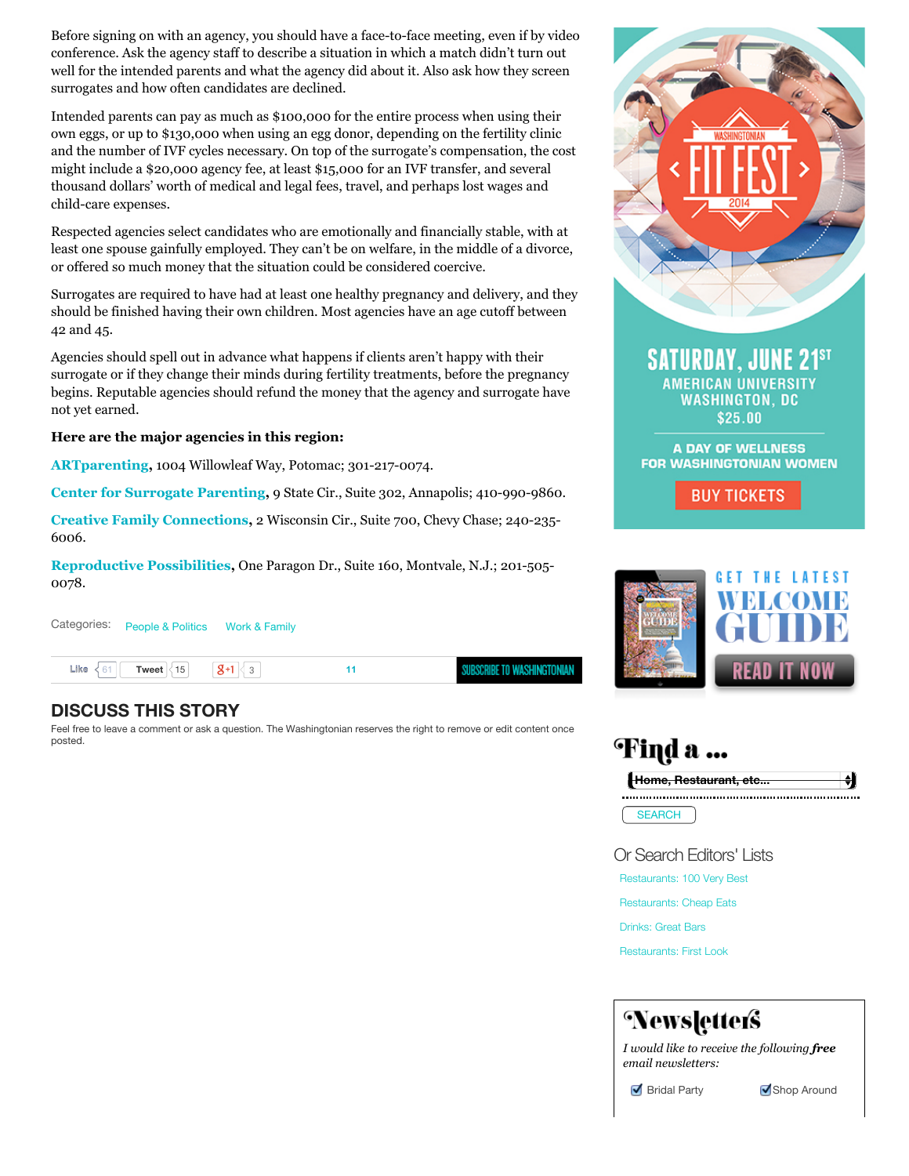Before signing on with an agency, you should have a face-to-face meeting, even if by video conference. Ask the agency staff to describe a situation in which a match didn't turn out well for the intended parents and what the agency did about it. Also ask how they screen surrogates and how often candidates are declined.

Intended parents can pay as much as \$100,000 for the entire process when using their own eggs, or up to \$130,000 when using an egg donor, depending on the fertility clinic and the number of IVF cycles necessary. On top of the surrogate's compensation, the cost might include a \$20,000 agency fee, at least \$15,000 for an IVF transfer, and several thousand dollars' worth of medical and legal fees, travel, and perhaps lost wages and child-care expenses.

Respected agencies select candidates who are emotionally and financially stable, with at least one spouse gainfully employed. They can't be on welfare, in the middle of a divorce, or offered so much money that the situation could be considered coercive.

Surrogates are required to have had at least one healthy pregnancy and delivery, and they should be finished having their own children. Most agencies have an age cutoff between 42 and 45.

Agencies should spell out in advance what happens if clients aren't happy with their surrogate or if they change their minds during fertility treatments, before the pregnancy begins. Reputable agencies should refund the money that the agency and surrogate have not yet earned.

# **Here are the major agencies in this region:**

**[ARTparenting](http://artparenting.com/),** 1004 Willowleaf Way, Potomac; 301-217-0074.

**[Center for Surrogate Parenting,](http://creatingfamilies.com/)** 9 State Cir., Suite 302, Annapolis; 410-990-9860.

**[Creative Family Connections,](http://creativefamilyconnections.com/)** 2 Wisconsin Cir., Suite 700, Chevy Chase; 240-235- 6006.

**[Reproductive Possibilities,](http://reproductivepossibilities.com/)** One Paragon Dr., Suite 160, Montvale, N.J.; 201-505- 0078.

Categories: [People & Politics](http://www.washingtonian.com/articles/people/) [Work & Family](http://www.washingtonian.com/articles/work-education/) SUBSCRIBE TO WASHINGTONIAN  $Like < 61$ **[Tweet](https://twitter.com/intent/tweet?original_referer=http%3A%2F%2Fwww.washingtonian.com%2Farticles%2Fwork-education%2Fhow-to-pick-a-surrogacy-agency%2F&text=How%20to%20Pick%20a%20Surrogacy%20Agency%20%7C%20Work%20%26%20Family%20%7C%20Washingtonian%3A&tw_p=tweetbutton&url=http%3A%2F%2Fwww.washingtonian.com%2Farticles%2Fwork-education%2Fhow-to-pick-a-surrogacy-agency%2F%23.U2vDT2pUB5A.twitter)**  $\begin{array}{|c|c|c|c|c|} \hline 15 & 8 & 3 \\ \hline \end{array}$  $\begin{array}{|c|c|c|c|c|} \hline 15 & 8 & 3 \\ \hline \end{array}$  $\begin{array}{|c|c|c|c|c|} \hline 15 & 8 & 3 \\ \hline \end{array}$  [11](http://www.washingtonian.com/articles/work-education/how-to-pick-a-surrogacy-agency/#)

# **DISCUSS THIS STORY**

Feel free to leave a comment or ask a question. The Washingtonian reserves the right to remove or edit content once posted.



**SATURDAY, JUNE 21ST AMERICAN UNIVERSITY** WASHINGTON, DC \$25.00

A DAY OF WELLNESS **FOR WASHINGTONIAN WOMEN** 

**BUY TICKETS** 



| ા ત …         |                       |  |  |
|---------------|-----------------------|--|--|
|               | Home, Restaurant, etc |  |  |
| <b>SEARCH</b> |                       |  |  |

Or Search Editors' Lists

[Restaurants: 100 Very Best](http://www.washingtonian.com/restaurantreviews/finder.php?&search=%25&sort_field=&SearchSortBy=title&SearchResultDisplay=ascend&loc_badge_entry=76267)

[Restaurants: Cheap Eats](http://www.washingtonian.com/restaurantreviews/finder.php?&search=%25&sort_field=&SearchSortBy=title&SearchResultDisplay=ascend&loc_badge_entry=76270)

[Drinks: Great Bars](http://www.washingtonian.com/badges/great-bars-2011.php)

[Restaurants: First Look](http://www.washingtonian.com/restaurantreviews/finder.php?&search=%25&sort_field=&SearchSortBy=title&SearchResultDisplay=ascend&loc_badge_entry=76273)

# Newsletters

*I would like to receive the following free email newsletters:*

Shop Around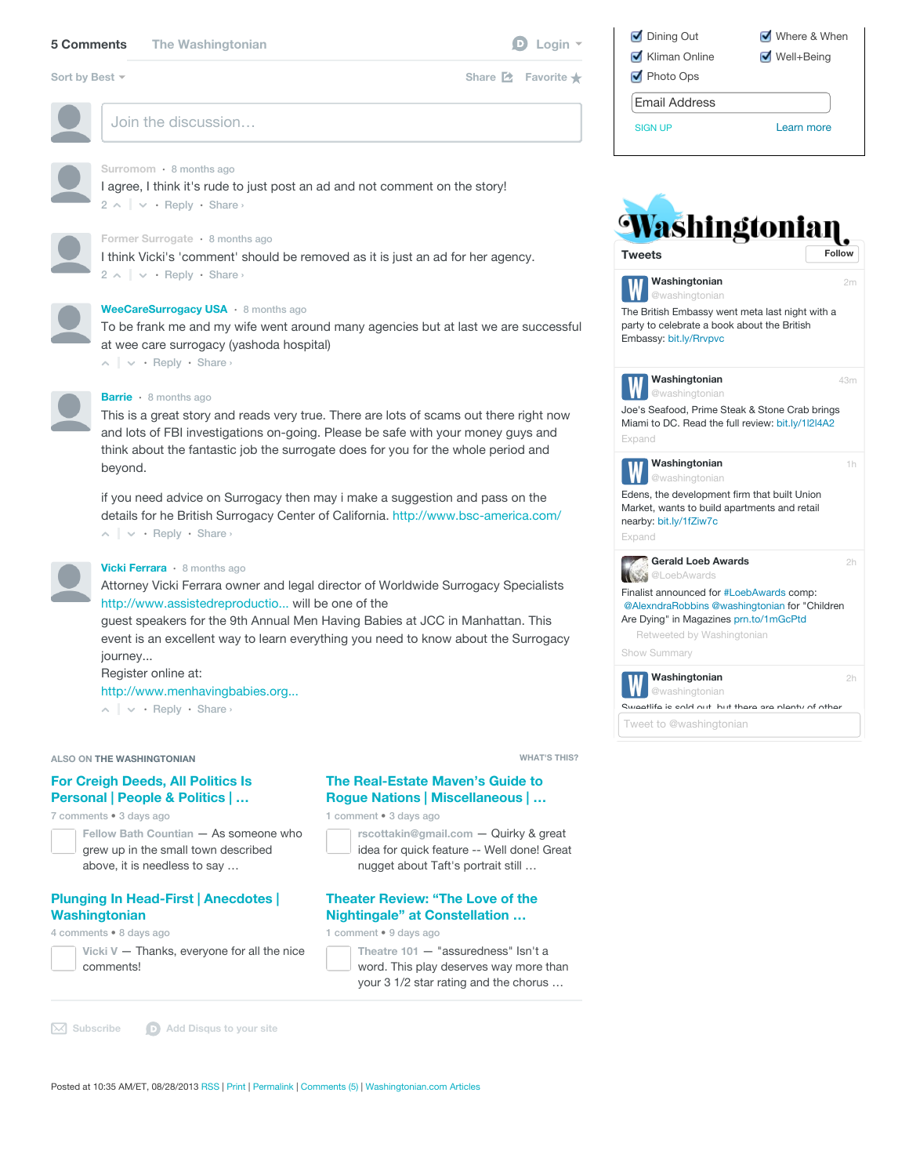# **[5 Comments](http://www.washingtonian.com/articles/work-education/how-to-pick-a-surrogacy-agency/#) [The Washingtonian](http://www.washingtonian.com/articles/work-education/how-to-pick-a-surrogacy-agency/#) [Login](http://www.washingtonian.com/articles/work-education/how-to-pick-a-surrogacy-agency/#) Login D** Login

[Sort by Best](http://www.washingtonian.com/articles/work-education/how-to-pick-a-surrogacy-agency/#)  $\sim$ 

Join the discussion…



# **Surromom** • [8 months ago](http://www.washingtonian.com/articles/work-education/how-to-pick-a-surrogacy-agency/#comment-1021315901)

 $2 \wedge \vert \vee \cdot$  $2 \wedge \vert \vee \cdot$  [Reply](http://www.washingtonian.com/articles/work-education/how-to-pick-a-surrogacy-agency/#)  $\cdot$  Share  $\circ$ I agree, I think it's rude to just post an ad and not comment on the story!



## **Former Surrogate** • [8 months ago](http://www.washingtonian.com/articles/work-education/how-to-pick-a-surrogacy-agency/#comment-1021077879)

 $2 \wedge \vert \vee \cdot$  $2 \wedge \vert \vee \cdot$  [Reply](http://www.washingtonian.com/articles/work-education/how-to-pick-a-surrogacy-agency/#)  $\cdot$  Share  $\circ$ I think Vicki's 'comment' should be removed as it is just an ad for her agency.



#### **[WeeCareSurrogacy USA](http://www.washingtonian.com/articles/work-education/how-to-pick-a-surrogacy-agency/#)** • [8 months ago](http://www.washingtonian.com/articles/work-education/how-to-pick-a-surrogacy-agency/#comment-1032008420)

To be frank me and my wife went around many agencies but at last we are successful [at w](http://www.washingtonian.com/articles/work-education/how-to-pick-a-surrogacy-agency/#)ee care surrogacy (yashoda hospital)

• [Reply](http://www.washingtonian.com/articles/work-education/how-to-pick-a-surrogacy-agency/#) • Share ›



#### **[Barrie](http://www.washingtonian.com/articles/work-education/how-to-pick-a-surrogacy-agency/#)** • [8 months ago](http://www.washingtonian.com/articles/work-education/how-to-pick-a-surrogacy-agency/#comment-1021938106)

This is a great story and reads very true. There are lots of scams out there right now and lots of FBI investigations on-going. Please be safe with your money guys and think about the fantastic job the surrogate does for you for the whole period and beyond.

• [Reply](http://www.washingtonian.com/articles/work-education/how-to-pick-a-surrogacy-agency/#) • Share › if you need advice on Surrogacy then may i make a suggestion and pass on the [det](http://www.washingtonian.com/articles/work-education/how-to-pick-a-surrogacy-agency/#)ails for he British Surrogacy Center of California.<http://www.bsc-america.com/>



#### **[Vicki Ferrara](http://www.washingtonian.com/articles/work-education/how-to-pick-a-surrogacy-agency/#)** • [8 months ago](http://www.washingtonian.com/articles/work-education/how-to-pick-a-surrogacy-agency/#comment-1020833826)

Attorney Vicki Ferrara owner and legal director of Worldwide Surrogacy Specialists [http://www.assistedreproductio...](http://www.assistedreproductionlaw.com/) will be one of the

guest speakers for the 9th Annual Men Having Babies at JCC in Manhattan. This event is an excellent way to learn everything you need to know about the Surrogacy journey...

Register online at:

[http://www.menhavingbabies.org...](http://www.menhavingbabies.org/surrogacy-seminars/ny-2013/#2)

• [Reply](http://www.washingtonian.com/articles/work-education/how-to-pick-a-surrogacy-agency/#) • Share ›

#### **ALSO ON THE WASHINGTONIAN**

# **[For Creigh Deeds, All Politics Is](http://redirect.disqus.com/url?url=http%3A%2F%2Fwww.washingtonian.com%2Farticles%2Fpeople%2Ffor-creigh-deeds-all-politics-is-personal%2Findex.php%3ARJe-UH6rt2ZvS3ADVJQmzW9yAlk&imp=8sb6hno1el5eiv&prev_imp&forum_id=1002586&forum=washingtonian&thread_id=1659851262&major_version=metadata&thread=2662472494&zone=internal_discovery) Personal | People & Politics | …**

7 comments • 3 days ago

| Fellow Bath Countian - As someone who |  |
|---------------------------------------|--|
| grew up in the small town described   |  |
| above, it is needless to say          |  |

#### **[Plunging In Head-First | Anecdotes |](http://redirect.disqus.com/url?url=http%3A%2F%2Fwww.washingtonian.com%2Fwashingtonvoices%2Fanecdotes%2Fplunging-in-head-first.php%3A7yBu0OSa1EnPhXf7wJ4dDROWppE&imp=8sb6hno1el5eiv&prev_imp&forum_id=1002586&forum=washingtonian&thread_id=1659851262&major_version=metadata&thread=2650217238&zone=internal_discovery) Washingtonian**

4 comments • 8 days ago

**Vicki V** [— Thanks, everyone for all the nice](http://redirect.disqus.com/url?url=http%3A%2F%2Fwww.washingtonian.com%2Fwashingtonvoices%2Fanecdotes%2Fplunging-in-head-first.php%3A7yBu0OSa1EnPhXf7wJ4dDROWppE&imp=8sb6hno1el5eiv&prev_imp&forum_id=1002586&forum=washingtonian&thread_id=1659851262&major_version=metadata&thread=2650217238&zone=internal_discovery) comments!

**WHAT'S THIS?**

Share **Z** [Favorite](http://www.washingtonian.com/articles/work-education/how-to-pick-a-surrogacy-agency/#) ★

# **The Real-Estate Maven's Guide to [Rogue Nations | Miscellaneous | …](http://redirect.disqus.com/url?url=http%3A%2F%2Fwww.washingtonian.com%2Fblogs%2Fopenhouse%2Fmiscellaneous%2Fthe-real-estate-mavens-guide-to-rogue-nations.php%3AJAzqeU1Nr-ETp3PYo6DHZWEnafo&imp=8sb6hno1el5eiv&prev_imp&forum_id=1002586&forum=washingtonian&thread_id=1659851262&major_version=metadata&thread=2662554579&zone=internal_discovery)**

1 comment • 3 days ago



**rscottakin@gmail.com** — Quirky & great [idea for quick feature -- Well done! Great](http://redirect.disqus.com/url?url=http%3A%2F%2Fwww.washingtonian.com%2Fblogs%2Fopenhouse%2Fmiscellaneous%2Fthe-real-estate-mavens-guide-to-rogue-nations.php%3AJAzqeU1Nr-ETp3PYo6DHZWEnafo&imp=8sb6hno1el5eiv&prev_imp&forum_id=1002586&forum=washingtonian&thread_id=1659851262&major_version=metadata&thread=2662554579&zone=internal_discovery) nugget about Taft's portrait still …

### **[Theater Review: "The Love of the](http://redirect.disqus.com/url?url=http%3A%2F%2Fwww.washingtonian.com%2Fblogs%2Fafterhours%2Ftheater-review%2Ftheater-review-the-love-of-the-nightingale-at-constellation-theatre.php%3AnbXz3kLjYXcitHeA_FCL__-2ZgY&imp=8sb6hno1el5eiv&prev_imp&forum_id=1002586&forum=washingtonian&thread_id=1659851262&major_version=metadata&thread=2648444483&zone=internal_discovery) Nightingale" at Constellation …**

1 comment • 9 days ago

**Theatre 101** — "assuredness" Isn't a [word. This play deserves way more than](http://redirect.disqus.com/url?url=http%3A%2F%2Fwww.washingtonian.com%2Fblogs%2Fafterhours%2Ftheater-review%2Ftheater-review-the-love-of-the-nightingale-at-constellation-theatre.php%3AnbXz3kLjYXcitHeA_FCL__-2ZgY&imp=8sb6hno1el5eiv&prev_imp&forum_id=1002586&forum=washingtonian&thread_id=1659851262&major_version=metadata&thread=2648444483&zone=internal_discovery) your 3 1/2 star rating and the chorus …

**[Subscribe](http://www.washingtonian.com/articles/work-education/how-to-pick-a-surrogacy-agency/#) [Add Disqus to your site](http://disqus.com/)**

| Dining Out    | Where & When                    |
|---------------|---------------------------------|
| Kliman Online | $\sqrt{\frac{1}{2}}$ Well+Being |
| Photo Ops     |                                 |
| Email Address |                                 |
| SIGN UP       | Learn more                      |



**Washingtonian**

[2m](https://twitter.com/washingtonian/statuses/464461217642586115)

[43m](https://twitter.com/washingtonian/statuses/464450898949722113)

[1h](https://twitter.com/washingtonian/statuses/464436051071627266)

[2h](https://twitter.com/LoebAwards/statuses/464430839284387840)

[2h](https://twitter.com/washingtonian/statuses/464431019622285312)

[The British Embassy we](http://t.co/ItO8Wb1vE0)nt meta last night with a party to celebrate a book about the British /ashingtonian

Embassy: bit.ly/Rrvpvc



Joe's Seafood, Prime Steak & Stone Crab brings [Miami to DC. Read the full review: bit.ly/1l2l4A2](http://t.co/jGy6YxKoGb)



[Expand](https://twitter.com/washingtonian/statuses/464450898949722113)

**Washingtonian** rashingtonian

Edens, the development firm that built Union [Market, wants to build](http://t.co/AI5XNOHSsu) apartments and retail nearby: bit.ly/1fZiw7c [Expand](https://twitter.com/washingtonian/statuses/464436051071627266)



[Finalist announced for #LoebAwards com](http://t.co/9wjaQdCzRo)p: [@AlexndraRobbins](https://twitter.com/AlexndraRobbins) [@washingtonian](https://twitter.com/washingtonian) for "Children Are Dying" in Magazines prn.to/1mGcPtd

Retweeted by [Washingtonian](https://twitter.com/washingtonian)

[Show Summary](https://twitter.com/LoebAwards/statuses/464430839284387840)



Sweetlife is sold out, but there are plenty of other

[Tweet to @washingtonian](https://twitter.com/intent/tweet?screen_name=washingtonian)